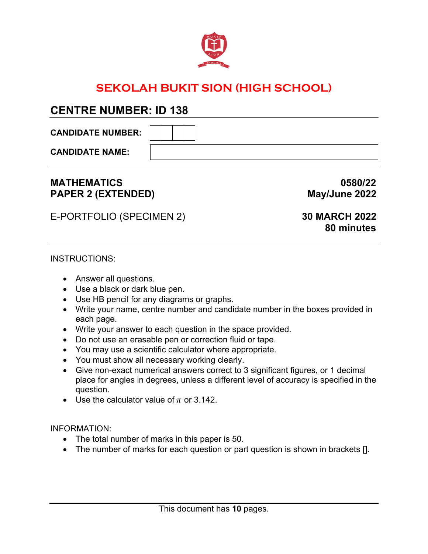

# **SEKOLAH BUKIT SION (HIGH SCHOOL)**

# **CENTRE NUMBER: ID 138**

**CANDIDATE NUMBER:** 

**CANDIDATE NAME:** 

# **MATHEMATICS 0580/22** PAPER 2 (EXTENDED) May/June 2022

E-PORTFOLIO (SPECIMEN 2) **30 MARCH 2022**

# **80 minutes**

# INSTRUCTIONS:

- Answer all questions.
- Use a black or dark blue pen.
- Use HB pencil for any diagrams or graphs.
- Write your name, centre number and candidate number in the boxes provided in each page.
- Write your answer to each question in the space provided.
- Do not use an erasable pen or correction fluid or tape.
- You may use a scientific calculator where appropriate.
- You must show all necessary working clearly.
- Give non-exact numerical answers correct to 3 significant figures, or 1 decimal place for angles in degrees, unless a different level of accuracy is specified in the question.
- Use the calculator value of  $\pi$  or 3.142.

INFORMATION:

- The total number of marks in this paper is 50.
- The number of marks for each question or part question is shown in brackets [].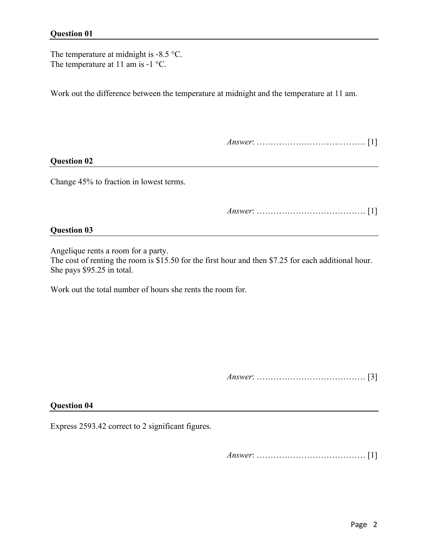#### **Question 01**

The temperature at midnight is -8.5 °C. The temperature at 11 am is -1 °C.

Work out the difference between the temperature at midnight and the temperature at 11 am.

*Answer*: ………………………………… [1]

#### **Question 02**

Change 45% to fraction in lowest terms.

*Answer*: ………………………………… [1]

#### **Question 03**

Angelique rents a room for a party.

The cost of renting the room is \$15.50 for the first hour and then \$7.25 for each additional hour. She pays \$95.25 in total.

Work out the total number of hours she rents the room for.

*Answer*: ………………………………… [3]

#### **Question 04**

Express 2593.42 correct to 2 significant figures.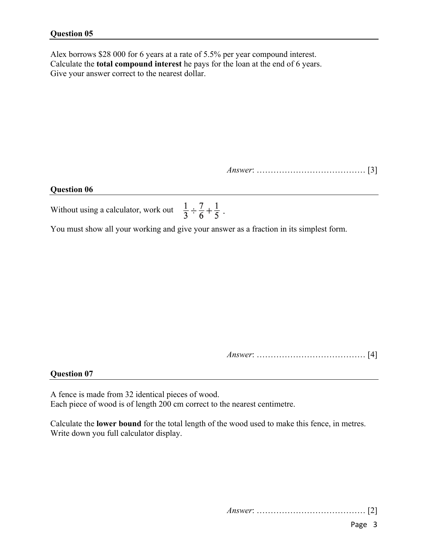Alex borrows \$28 000 for 6 years at a rate of 5.5% per year compound interest. Calculate the **total compound interest** he pays for the loan at the end of 6 years. Give your answer correct to the nearest dollar.

*Answer*: ………………………………… [3]

#### **Question 06**

Without using a calculator, work out  $\frac{1}{3} \div \frac{7}{6} + \frac{1}{5}$ .

You must show all your working and give your answer as a fraction in its simplest form.

*Answer*: ………………………………… [4]

#### **Question 07**

A fence is made from 32 identical pieces of wood. Each piece of wood is of length 200 cm correct to the nearest centimetre.

Calculate the **lower bound** for the total length of the wood used to make this fence, in metres. Write down you full calculator display.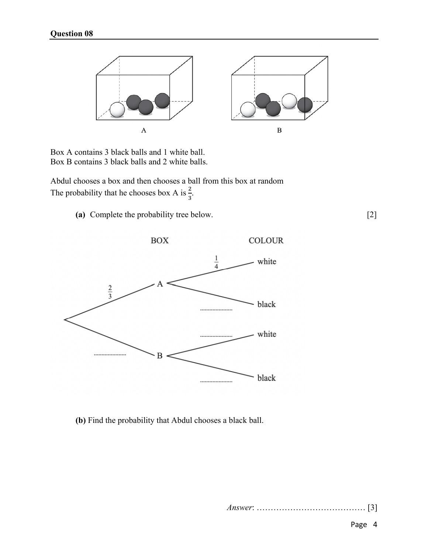

Box A contains 3 black balls and 1 white ball. Box B contains 3 black balls and 2 white balls.

Abdul chooses a box and then chooses a ball from this box at random The probability that he chooses box A is  $\frac{2}{3}$ .

**(a)** Complete the probability tree below. [2]



**(b)** Find the probability that Abdul chooses a black ball.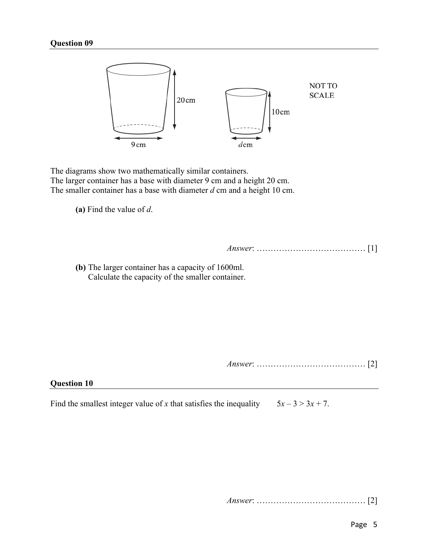# **Question 09**



The diagrams show two mathematically similar containers. The larger container has a base with diameter 9 cm and a height 20 cm. The smaller container has a base with diameter *d* cm and a height 10 cm.

**(a)** Find the value of *d*.

*Answer*: ………………………………… [1]

**(b)** The larger container has a capacity of 1600ml. Calculate the capacity of the smaller container.

*Answer*: ………………………………… [2]

#### **Question 10**

Find the smallest integer value of *x* that satisfies the inequality  $5x - 3 > 3x + 7$ .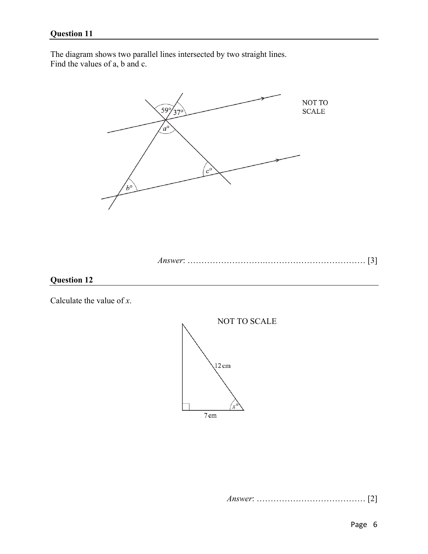The diagram shows two parallel lines intersected by two straight lines. Find the values of a, b and c.



```
Answer: ……………………….……………………………… [3]
```


Calculate the value of *x*.

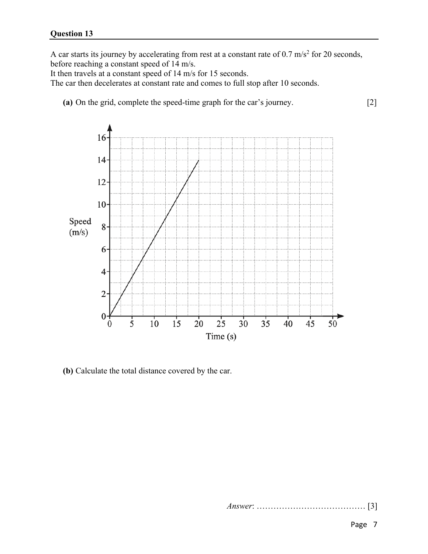A car starts its journey by accelerating from rest at a constant rate of  $0.7 \text{ m/s}^2$  for 20 seconds, before reaching a constant speed of 14 m/s.

It then travels at a constant speed of 14 m/s for 15 seconds.

The car then decelerates at constant rate and comes to full stop after 10 seconds.

**(a)** On the grid, complete the speed-time graph for the car's journey. [2]



**(b)** Calculate the total distance covered by the car.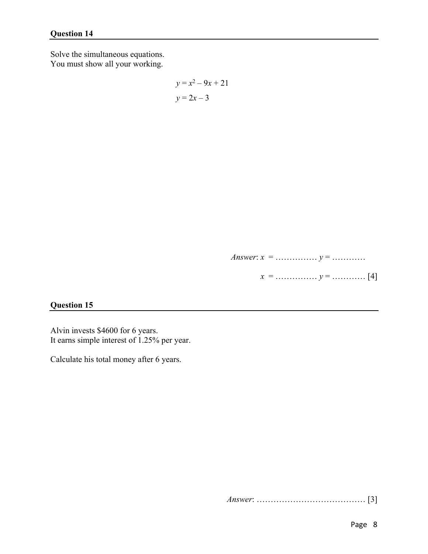Solve the simultaneous equations. You must show all your working.

$$
y = x^2 - 9x + 21
$$

$$
y = 2x - 3
$$

*Answer*: *x* = …………… *y* = ………… [3]

 $x =$  …………… *y* = ………… [4]

## **Question 15**

Alvin invests \$4600 for 6 years. It earns simple interest of 1.25% per year.

Calculate his total money after 6 years.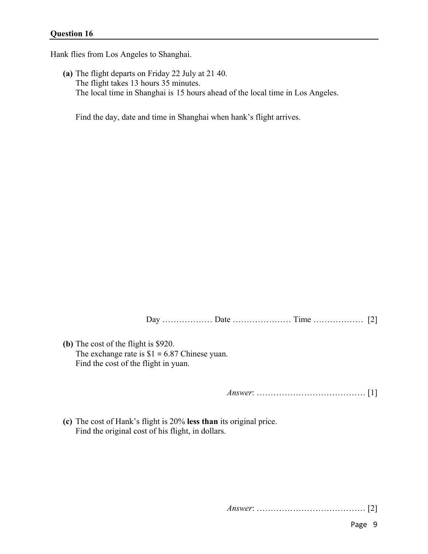Hank flies from Los Angeles to Shanghai.

**(a)** The flight departs on Friday 22 July at 21 40. The flight takes 13 hours 35 minutes. The local time in Shanghai is 15 hours ahead of the local time in Los Angeles.

Find the day, date and time in Shanghai when hank's flight arrives.

Day ……………… Date ………………… Time ……………… [2]

**(b)** The cost of the flight is \$920. The exchange rate is  $$1 = 6.87$  Chinese yuan. Find the cost of the flight in yuan.

*Answer*: ………………………………… [1]

**(c)** The cost of Hank's flight is 20% **less than** its original price. Find the original cost of his flight, in dollars.